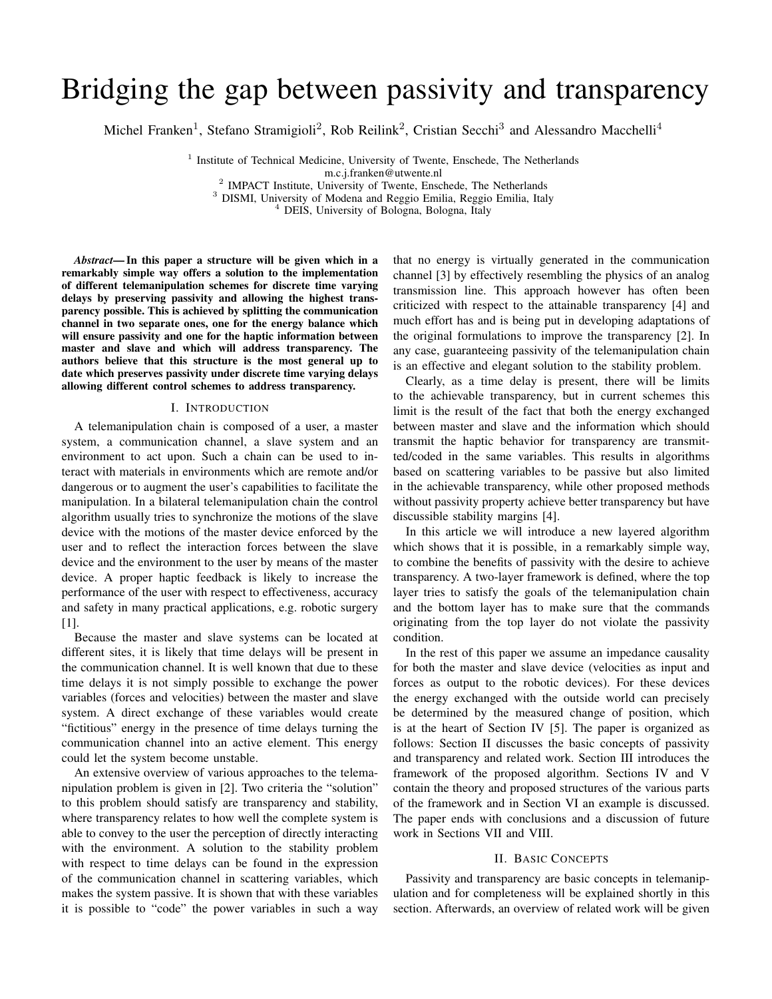# Bridging the gap between passivity and transparency

Michel Franken<sup>1</sup>, Stefano Stramigioli<sup>2</sup>, Rob Reilink<sup>2</sup>, Cristian Secchi<sup>3</sup> and Alessandro Macchelli<sup>4</sup>

<sup>1</sup> Institute of Technical Medicine, University of Twente, Enschede, The Netherlands m.c.j.franken@utwente.nl

<sup>2</sup> IMPACT Institute, University of Twente, Enschede, The Netherlands

<sup>3</sup> DISMI, University of Modena and Reggio Emilia, Reggio Emilia, Italy

<sup>4</sup> DEIS, University of Bologna, Bologna, Italy

*Abstract*— In this paper a structure will be given which in a remarkably simple way offers a solution to the implementation of different telemanipulation schemes for discrete time varying delays by preserving passivity and allowing the highest transparency possible. This is achieved by splitting the communication channel in two separate ones, one for the energy balance which will ensure passivity and one for the haptic information between master and slave and which will address transparency. The authors believe that this structure is the most general up to date which preserves passivity under discrete time varying delays allowing different control schemes to address transparency.

#### I. INTRODUCTION

A telemanipulation chain is composed of a user, a master system, a communication channel, a slave system and an environment to act upon. Such a chain can be used to interact with materials in environments which are remote and/or dangerous or to augment the user's capabilities to facilitate the manipulation. In a bilateral telemanipulation chain the control algorithm usually tries to synchronize the motions of the slave device with the motions of the master device enforced by the user and to reflect the interaction forces between the slave device and the environment to the user by means of the master device. A proper haptic feedback is likely to increase the performance of the user with respect to effectiveness, accuracy and safety in many practical applications, e.g. robotic surgery [1].

Because the master and slave systems can be located at different sites, it is likely that time delays will be present in the communication channel. It is well known that due to these time delays it is not simply possible to exchange the power variables (forces and velocities) between the master and slave system. A direct exchange of these variables would create "fictitious" energy in the presence of time delays turning the communication channel into an active element. This energy could let the system become unstable.

An extensive overview of various approaches to the telemanipulation problem is given in [2]. Two criteria the "solution" to this problem should satisfy are transparency and stability, where transparency relates to how well the complete system is able to convey to the user the perception of directly interacting with the environment. A solution to the stability problem with respect to time delays can be found in the expression of the communication channel in scattering variables, which makes the system passive. It is shown that with these variables it is possible to "code" the power variables in such a way that no energy is virtually generated in the communication channel [3] by effectively resembling the physics of an analog transmission line. This approach however has often been criticized with respect to the attainable transparency [4] and much effort has and is being put in developing adaptations of the original formulations to improve the transparency [2]. In any case, guaranteeing passivity of the telemanipulation chain is an effective and elegant solution to the stability problem.

Clearly, as a time delay is present, there will be limits to the achievable transparency, but in current schemes this limit is the result of the fact that both the energy exchanged between master and slave and the information which should transmit the haptic behavior for transparency are transmitted/coded in the same variables. This results in algorithms based on scattering variables to be passive but also limited in the achievable transparency, while other proposed methods without passivity property achieve better transparency but have discussible stability margins [4].

In this article we will introduce a new layered algorithm which shows that it is possible, in a remarkably simple way, to combine the benefits of passivity with the desire to achieve transparency. A two-layer framework is defined, where the top layer tries to satisfy the goals of the telemanipulation chain and the bottom layer has to make sure that the commands originating from the top layer do not violate the passivity condition.

In the rest of this paper we assume an impedance causality for both the master and slave device (velocities as input and forces as output to the robotic devices). For these devices the energy exchanged with the outside world can precisely be determined by the measured change of position, which is at the heart of Section IV [5]. The paper is organized as follows: Section II discusses the basic concepts of passivity and transparency and related work. Section III introduces the framework of the proposed algorithm. Sections IV and V contain the theory and proposed structures of the various parts of the framework and in Section VI an example is discussed. The paper ends with conclusions and a discussion of future work in Sections VII and VIII.

#### II. BASIC CONCEPTS

Passivity and transparency are basic concepts in telemanipulation and for completeness will be explained shortly in this section. Afterwards, an overview of related work will be given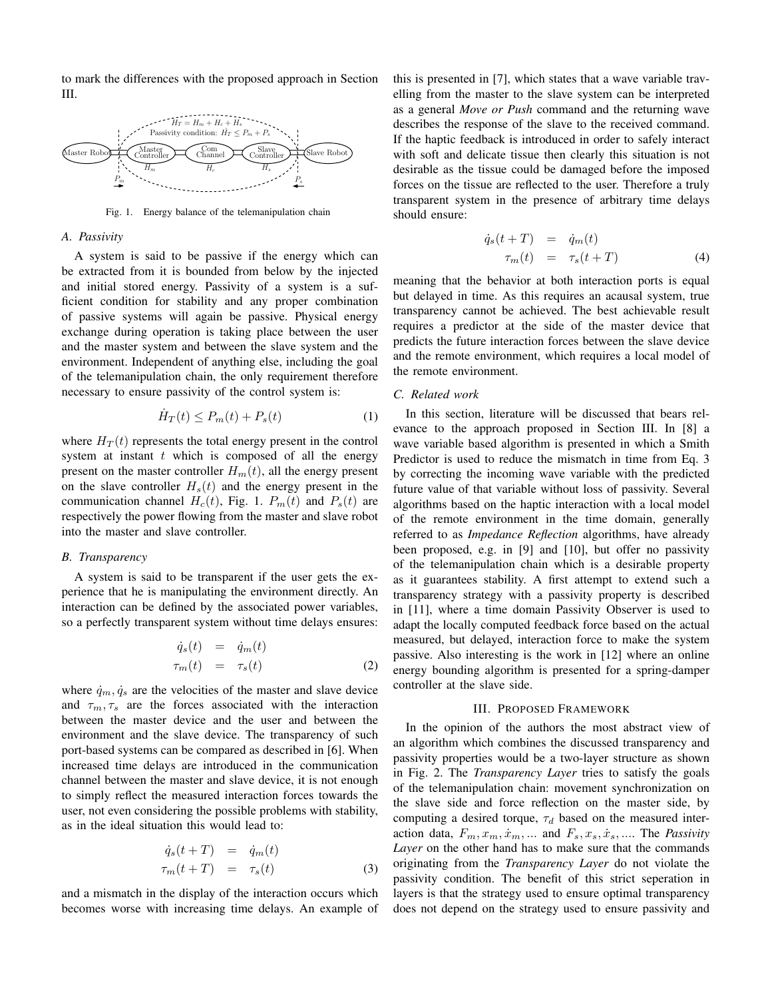to mark the differences with the proposed approach in Section III.



Fig. 1. Energy balance of the telemanipulation chain

# *A. Passivity*

A system is said to be passive if the energy which can be extracted from it is bounded from below by the injected and initial stored energy. Passivity of a system is a sufficient condition for stability and any proper combination of passive systems will again be passive. Physical energy exchange during operation is taking place between the user and the master system and between the slave system and the environment. Independent of anything else, including the goal of the telemanipulation chain, the only requirement therefore necessary to ensure passivity of the control system is:

$$
\dot{H}_T(t) \le P_m(t) + P_s(t) \tag{1}
$$

where  $H_T(t)$  represents the total energy present in the control system at instant  $t$  which is composed of all the energy present on the master controller  $H_m(t)$ , all the energy present on the slave controller  $H_s(t)$  and the energy present in the communication channel  $H_c(t)$ , Fig. 1.  $P_m(t)$  and  $P_s(t)$  are respectively the power flowing from the master and slave robot into the master and slave controller.

# *B. Transparency*

A system is said to be transparent if the user gets the experience that he is manipulating the environment directly. An interaction can be defined by the associated power variables, so a perfectly transparent system without time delays ensures:

$$
\dot{q}_s(t) = \dot{q}_m(t) \n\tau_m(t) = \tau_s(t)
$$
\n(2)

where  $\dot{q}_m, \dot{q}_s$  are the velocities of the master and slave device and  $\tau_m, \tau_s$  are the forces associated with the interaction between the master device and the user and between the environment and the slave device. The transparency of such port-based systems can be compared as described in [6]. When increased time delays are introduced in the communication channel between the master and slave device, it is not enough to simply reflect the measured interaction forces towards the user, not even considering the possible problems with stability, as in the ideal situation this would lead to:

$$
\dot{q}_s(t+T) = \dot{q}_m(t) \n\tau_m(t+T) = \tau_s(t)
$$
\n(3)

and a mismatch in the display of the interaction occurs which becomes worse with increasing time delays. An example of this is presented in [7], which states that a wave variable travelling from the master to the slave system can be interpreted as a general *Move or Push* command and the returning wave describes the response of the slave to the received command. If the haptic feedback is introduced in order to safely interact with soft and delicate tissue then clearly this situation is not desirable as the tissue could be damaged before the imposed forces on the tissue are reflected to the user. Therefore a truly transparent system in the presence of arbitrary time delays should ensure:

$$
\dot{q}_s(t+T) = \dot{q}_m(t) \n\tau_m(t) = \tau_s(t+T)
$$
\n(4)

meaning that the behavior at both interaction ports is equal but delayed in time. As this requires an acausal system, true transparency cannot be achieved. The best achievable result requires a predictor at the side of the master device that predicts the future interaction forces between the slave device and the remote environment, which requires a local model of the remote environment.

# *C. Related work*

In this section, literature will be discussed that bears relevance to the approach proposed in Section III. In [8] a wave variable based algorithm is presented in which a Smith Predictor is used to reduce the mismatch in time from Eq. 3 by correcting the incoming wave variable with the predicted future value of that variable without loss of passivity. Several algorithms based on the haptic interaction with a local model of the remote environment in the time domain, generally referred to as *Impedance Reflection* algorithms, have already been proposed, e.g. in [9] and [10], but offer no passivity of the telemanipulation chain which is a desirable property as it guarantees stability. A first attempt to extend such a transparency strategy with a passivity property is described in [11], where a time domain Passivity Observer is used to adapt the locally computed feedback force based on the actual measured, but delayed, interaction force to make the system passive. Also interesting is the work in [12] where an online energy bounding algorithm is presented for a spring-damper controller at the slave side.

## III. PROPOSED FRAMEWORK

In the opinion of the authors the most abstract view of an algorithm which combines the discussed transparency and passivity properties would be a two-layer structure as shown in Fig. 2. The *Transparency Layer* tries to satisfy the goals of the telemanipulation chain: movement synchronization on the slave side and force reflection on the master side, by computing a desired torque,  $\tau_d$  based on the measured interaction data,  $F_m, x_m, \dot{x}_m, \dots$  and  $F_s, x_s, \dot{x}_s, \dots$ . The *Passivity Layer* on the other hand has to make sure that the commands originating from the *Transparency Layer* do not violate the passivity condition. The benefit of this strict seperation in layers is that the strategy used to ensure optimal transparency does not depend on the strategy used to ensure passivity and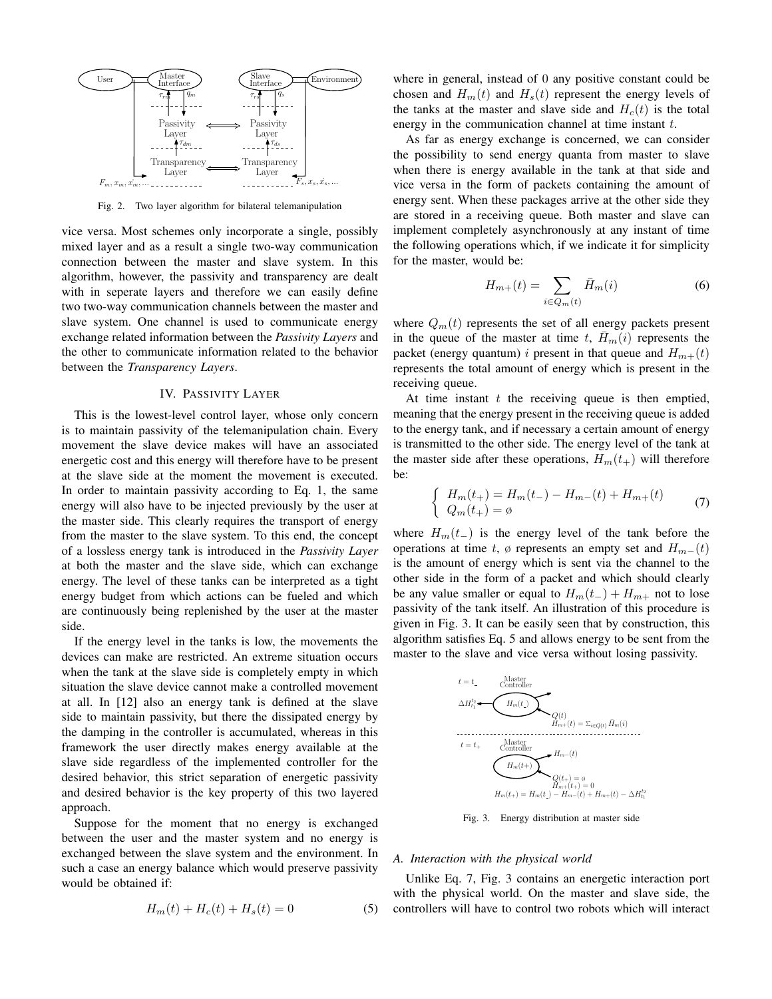

Fig. 2. Two layer algorithm for bilateral telemanipulation

vice versa. Most schemes only incorporate a single, possibly mixed layer and as a result a single two-way communication connection between the master and slave system. In this algorithm, however, the passivity and transparency are dealt with in seperate layers and therefore we can easily define two two-way communication channels between the master and slave system. One channel is used to communicate energy exchange related information between the *Passivity Layers* and the other to communicate information related to the behavior between the *Transparency Layers*.

# IV. PASSIVITY LAYER

This is the lowest-level control layer, whose only concern is to maintain passivity of the telemanipulation chain. Every movement the slave device makes will have an associated energetic cost and this energy will therefore have to be present at the slave side at the moment the movement is executed. In order to maintain passivity according to Eq. 1, the same energy will also have to be injected previously by the user at the master side. This clearly requires the transport of energy from the master to the slave system. To this end, the concept of a lossless energy tank is introduced in the *Passivity Layer* at both the master and the slave side, which can exchange energy. The level of these tanks can be interpreted as a tight energy budget from which actions can be fueled and which are continuously being replenished by the user at the master side.

If the energy level in the tanks is low, the movements the devices can make are restricted. An extreme situation occurs when the tank at the slave side is completely empty in which situation the slave device cannot make a controlled movement at all. In [12] also an energy tank is defined at the slave side to maintain passivity, but there the dissipated energy by the damping in the controller is accumulated, whereas in this framework the user directly makes energy available at the slave side regardless of the implemented controller for the desired behavior, this strict separation of energetic passivity and desired behavior is the key property of this two layered approach.

Suppose for the moment that no energy is exchanged between the user and the master system and no energy is exchanged between the slave system and the environment. In such a case an energy balance which would preserve passivity would be obtained if:

$$
H_m(t) + H_c(t) + H_s(t) = 0 \tag{5}
$$

where in general, instead of 0 any positive constant could be chosen and  $H_m(t)$  and  $H_s(t)$  represent the energy levels of the tanks at the master and slave side and  $H_c(t)$  is the total energy in the communication channel at time instant  $t$ .

As far as energy exchange is concerned, we can consider the possibility to send energy quanta from master to slave when there is energy available in the tank at that side and vice versa in the form of packets containing the amount of energy sent. When these packages arrive at the other side they are stored in a receiving queue. Both master and slave can implement completely asynchronously at any instant of time the following operations which, if we indicate it for simplicity for the master, would be:

$$
H_{m+}(t) = \sum_{i \in Q_m(t)} \bar{H}_m(i) \tag{6}
$$

where  $Q_m(t)$  represents the set of all energy packets present in the queue of the master at time t,  $H_m(i)$  represents the packet (energy quantum) i present in that queue and  $H_{m+}(t)$ represents the total amount of energy which is present in the receiving queue.

At time instant  $t$  the receiving queue is then emptied, meaning that the energy present in the receiving queue is added to the energy tank, and if necessary a certain amount of energy is transmitted to the other side. The energy level of the tank at the master side after these operations,  $H_m(t_+)$  will therefore be:

$$
\begin{cases}\nH_m(t_+) = H_m(t_-) - H_{m-}(t) + H_{m+}(t) \\
Q_m(t_+) = \emptyset\n\end{cases} (7)
$$

where  $H_m(t_+)$  is the energy level of the tank before the operations at time t, ø represents an empty set and  $H_{m-}(t)$ is the amount of energy which is sent via the channel to the other side in the form of a packet and which should clearly be any value smaller or equal to  $H_m(t_+) + H_{m+}$  not to lose passivity of the tank itself. An illustration of this procedure is given in Fig. 3. It can be easily seen that by construction, this algorithm satisfies Eq. 5 and allows energy to be sent from the master to the slave and vice versa without losing passivity.



Fig. 3. Energy distribution at master side

#### *A. Interaction with the physical world*

Unlike Eq. 7, Fig. 3 contains an energetic interaction port with the physical world. On the master and slave side, the controllers will have to control two robots which will interact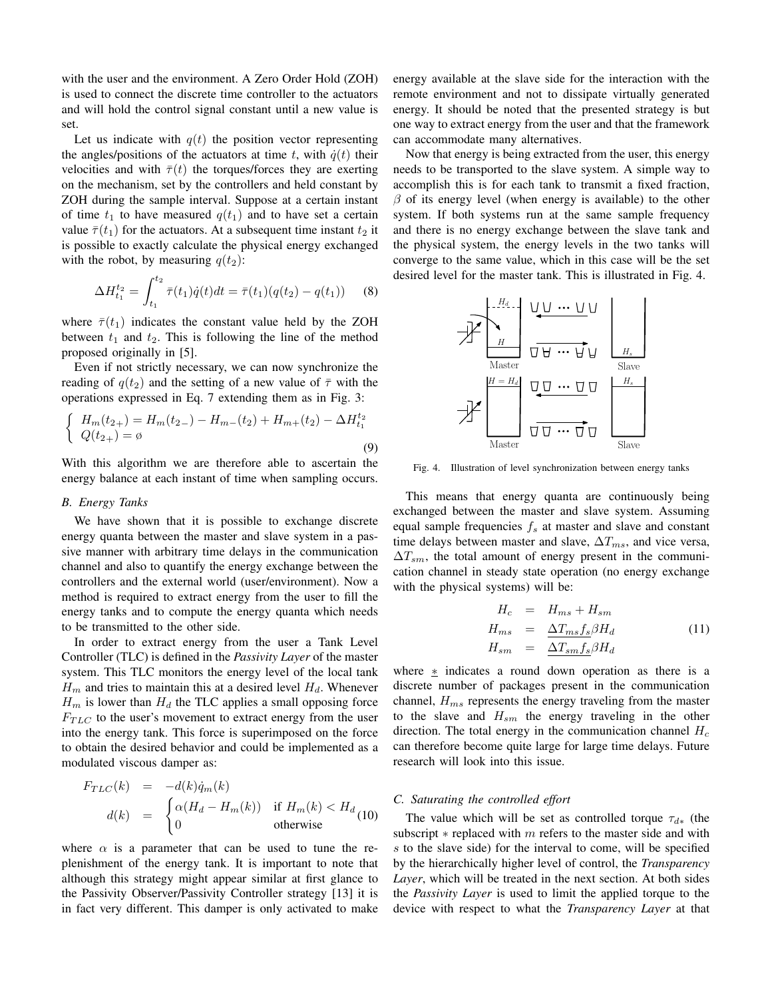with the user and the environment. A Zero Order Hold (ZOH) is used to connect the discrete time controller to the actuators and will hold the control signal constant until a new value is set.

Let us indicate with  $q(t)$  the position vector representing the angles/positions of the actuators at time t, with  $\dot{q}(t)$  their velocities and with  $\bar{\tau}(t)$  the torques/forces they are exerting on the mechanism, set by the controllers and held constant by ZOH during the sample interval. Suppose at a certain instant of time  $t_1$  to have measured  $q(t_1)$  and to have set a certain value  $\bar{\tau}(t_1)$  for the actuators. At a subsequent time instant  $t_2$  it is possible to exactly calculate the physical energy exchanged with the robot, by measuring  $q(t_2)$ :

$$
\Delta H_{t_1}^{t_2} = \int_{t_1}^{t_2} \bar{\tau}(t_1)\dot{q}(t)dt = \bar{\tau}(t_1)(q(t_2) - q(t_1)) \quad (8)
$$

where  $\bar{\tau}(t_1)$  indicates the constant value held by the ZOH between  $t_1$  and  $t_2$ . This is following the line of the method proposed originally in [5].

Even if not strictly necessary, we can now synchronize the reading of  $q(t_2)$  and the setting of a new value of  $\bar{\tau}$  with the operations expressed in Eq. 7 extending them as in Fig. 3:

$$
\begin{cases}\nH_m(t_{2+}) = H_m(t_{2-}) - H_{m-}(t_2) + H_{m+}(t_2) - \Delta H_{t_1}^{t_2} \\
Q(t_{2+}) = \emptyset\n\end{cases}
$$
\n(9)

With this algorithm we are therefore able to ascertain the energy balance at each instant of time when sampling occurs.

### *B. Energy Tanks*

We have shown that it is possible to exchange discrete energy quanta between the master and slave system in a passive manner with arbitrary time delays in the communication channel and also to quantify the energy exchange between the controllers and the external world (user/environment). Now a method is required to extract energy from the user to fill the energy tanks and to compute the energy quanta which needs to be transmitted to the other side.

In order to extract energy from the user a Tank Level Controller (TLC) is defined in the *Passivity Layer* of the master system. This TLC monitors the energy level of the local tank  $H_m$  and tries to maintain this at a desired level  $H_d$ . Whenever  $H_m$  is lower than  $H_d$  the TLC applies a small opposing force  $F_{TLC}$  to the user's movement to extract energy from the user into the energy tank. This force is superimposed on the force to obtain the desired behavior and could be implemented as a modulated viscous damper as:

$$
F_{TLC}(k) = -d(k)\dot{q}_m(k)
$$
  
\n
$$
d(k) = \begin{cases} \alpha(H_d - H_m(k)) & \text{if } H_m(k) < H_d \\ 0 & \text{otherwise} \end{cases}
$$
(10)

where  $\alpha$  is a parameter that can be used to tune the replenishment of the energy tank. It is important to note that although this strategy might appear similar at first glance to the Passivity Observer/Passivity Controller strategy [13] it is in fact very different. This damper is only activated to make energy available at the slave side for the interaction with the remote environment and not to dissipate virtually generated energy. It should be noted that the presented strategy is but one way to extract energy from the user and that the framework can accommodate many alternatives.

Now that energy is being extracted from the user, this energy needs to be transported to the slave system. A simple way to accomplish this is for each tank to transmit a fixed fraction,  $\beta$  of its energy level (when energy is available) to the other system. If both systems run at the same sample frequency and there is no energy exchange between the slave tank and the physical system, the energy levels in the two tanks will converge to the same value, which in this case will be the set desired level for the master tank. This is illustrated in Fig. 4.



Fig. 4. Illustration of level synchronization between energy tanks

This means that energy quanta are continuously being exchanged between the master and slave system. Assuming equal sample frequencies  $f_s$  at master and slave and constant time delays between master and slave,  $\Delta T_{ms}$ , and vice versa,  $\Delta T_{sm}$ , the total amount of energy present in the communication channel in steady state operation (no energy exchange with the physical systems) will be:

$$
H_c = H_{ms} + H_{sm}
$$
  
\n
$$
H_{ms} = \frac{\Delta T_{ms} f_s \beta H_d}{\Delta T_{sm} f_s \beta H_d}
$$
\n(11)

where ∗ indicates a round down operation as there is a discrete number of packages present in the communication channel,  $H_{ms}$  represents the energy traveling from the master to the slave and  $H_{sm}$  the energy traveling in the other direction. The total energy in the communication channel  $H_c$ can therefore become quite large for large time delays. Future research will look into this issue.

# *C. Saturating the controlled effort*

The value which will be set as controlled torque  $\tau_{d*}$  (the subscript  $*$  replaced with m refers to the master side and with s to the slave side) for the interval to come, will be specified by the hierarchically higher level of control, the *Transparency Layer*, which will be treated in the next section. At both sides the *Passivity Layer* is used to limit the applied torque to the device with respect to what the *Transparency Layer* at that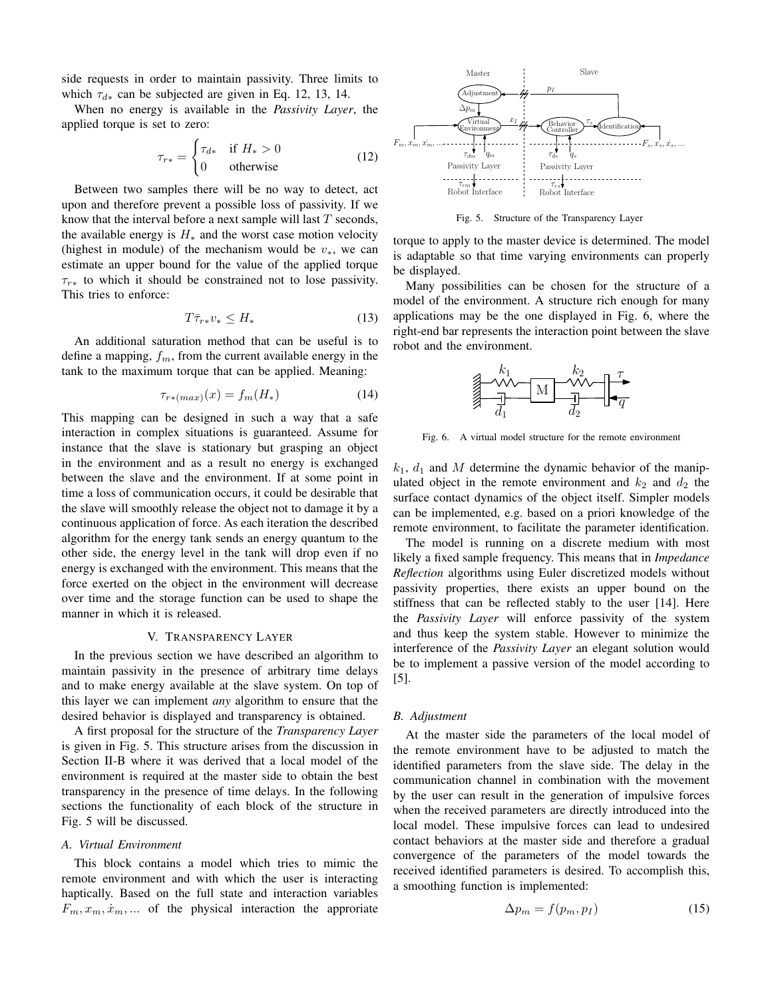side requests in order to maintain passivity. Three limits to which  $\tau_{d*}$  can be subjected are given in Eq. 12, 13, 14.

When no energy is available in the *Passivity Layer*, the applied torque is set to zero:

$$
\tau_{r*} = \begin{cases} \tau_{d*} & \text{if } H_* > 0 \\ 0 & \text{otherwise} \end{cases}
$$
 (12)

Between two samples there will be no way to detect, act upon and therefore prevent a possible loss of passivity. If we know that the interval before a next sample will last  $T$  seconds, the available energy is  $H_*$  and the worst case motion velocity (highest in module) of the mechanism would be  $v<sub>*</sub>$ , we can estimate an upper bound for the value of the applied torque  $\tau_{r*}$  to which it should be constrained not to lose passivity. This tries to enforce:

$$
T\bar{\tau}_{r*}v_* \le H_*\tag{13}
$$

An additional saturation method that can be useful is to define a mapping,  $f_m$ , from the current available energy in the tank to the maximum torque that can be applied. Meaning:

$$
\tau_{r*(max)}(x) = f_m(H_*)\tag{14}
$$

This mapping can be designed in such a way that a safe interaction in complex situations is guaranteed. Assume for instance that the slave is stationary but grasping an object in the environment and as a result no energy is exchanged between the slave and the environment. If at some point in time a loss of communication occurs, it could be desirable that the slave will smoothly release the object not to damage it by a continuous application of force. As each iteration the described algorithm for the energy tank sends an energy quantum to the other side, the energy level in the tank will drop even if no energy is exchanged with the environment. This means that the force exerted on the object in the environment will decrease over time and the storage function can be used to shape the manner in which it is released.

# V. TRANSPARENCY LAYER

In the previous section we have described an algorithm to maintain passivity in the presence of arbitrary time delays and to make energy available at the slave system. On top of this layer we can implement *any* algorithm to ensure that the desired behavior is displayed and transparency is obtained.

A first proposal for the structure of the *Transparency Layer* is given in Fig. 5. This structure arises from the discussion in Section II-B where it was derived that a local model of the environment is required at the master side to obtain the best transparency in the presence of time delays. In the following sections the functionality of each block of the structure in Fig. 5 will be discussed.

# *A. Virtual Environment*

This block contains a model which tries to mimic the remote environment and with which the user is interacting haptically. Based on the full state and interaction variables  $F_m, x_m, \dot{x}_m, \dots$  of the physical interaction the approriate



Fig. 5. Structure of the Transparency Layer

torque to apply to the master device is determined. The model is adaptable so that time varying environments can properly be displayed.

Many possibilities can be chosen for the structure of a model of the environment. A structure rich enough for many applications may be the one displayed in Fig. 6, where the right-end bar represents the interaction point between the slave robot and the environment.



Fig. 6. A virtual model structure for the remote environment

 $k_1$ ,  $d_1$  and M determine the dynamic behavior of the manipulated object in the remote environment and  $k_2$  and  $d_2$  the surface contact dynamics of the object itself. Simpler models can be implemented, e.g. based on a priori knowledge of the remote environment, to facilitate the parameter identification.

The model is running on a discrete medium with most likely a fixed sample frequency. This means that in *Impedance Reflection* algorithms using Euler discretized models without passivity properties, there exists an upper bound on the stiffness that can be reflected stably to the user [14]. Here the *Passivity Layer* will enforce passivity of the system and thus keep the system stable. However to minimize the interference of the *Passivity Layer* an elegant solution would be to implement a passive version of the model according to [5].

#### *B. Adjustment*

At the master side the parameters of the local model of the remote environment have to be adjusted to match the identified parameters from the slave side. The delay in the communication channel in combination with the movement by the user can result in the generation of impulsive forces when the received parameters are directly introduced into the local model. These impulsive forces can lead to undesired contact behaviors at the master side and therefore a gradual convergence of the parameters of the model towards the received identified parameters is desired. To accomplish this, a smoothing function is implemented:

$$
\Delta p_m = f(p_m, p_I) \tag{15}
$$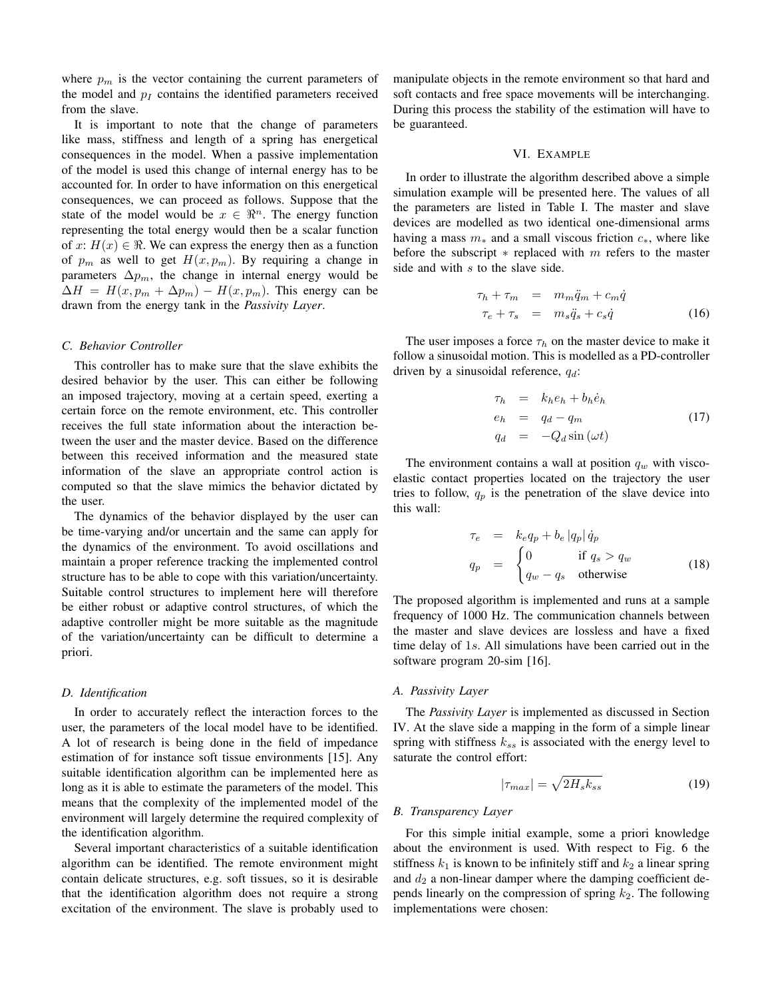where  $p_m$  is the vector containing the current parameters of the model and  $p_I$  contains the identified parameters received from the slave.

It is important to note that the change of parameters like mass, stiffness and length of a spring has energetical consequences in the model. When a passive implementation of the model is used this change of internal energy has to be accounted for. In order to have information on this energetical consequences, we can proceed as follows. Suppose that the state of the model would be  $x \in \mathbb{R}^n$ . The energy function representing the total energy would then be a scalar function of x:  $H(x) \in \mathbb{R}$ . We can express the energy then as a function of  $p_m$  as well to get  $H(x, p_m)$ . By requiring a change in parameters  $\Delta p_m$ , the change in internal energy would be  $\Delta H = H(x, p_m + \Delta p_m) - H(x, p_m)$ . This energy can be drawn from the energy tank in the *Passivity Layer*.

### *C. Behavior Controller*

This controller has to make sure that the slave exhibits the desired behavior by the user. This can either be following an imposed trajectory, moving at a certain speed, exerting a certain force on the remote environment, etc. This controller receives the full state information about the interaction between the user and the master device. Based on the difference between this received information and the measured state information of the slave an appropriate control action is computed so that the slave mimics the behavior dictated by the user.

The dynamics of the behavior displayed by the user can be time-varying and/or uncertain and the same can apply for the dynamics of the environment. To avoid oscillations and maintain a proper reference tracking the implemented control structure has to be able to cope with this variation/uncertainty. Suitable control structures to implement here will therefore be either robust or adaptive control structures, of which the adaptive controller might be more suitable as the magnitude of the variation/uncertainty can be difficult to determine a priori.

# *D. Identification*

In order to accurately reflect the interaction forces to the user, the parameters of the local model have to be identified. A lot of research is being done in the field of impedance estimation of for instance soft tissue environments [15]. Any suitable identification algorithm can be implemented here as long as it is able to estimate the parameters of the model. This means that the complexity of the implemented model of the environment will largely determine the required complexity of the identification algorithm.

Several important characteristics of a suitable identification algorithm can be identified. The remote environment might contain delicate structures, e.g. soft tissues, so it is desirable that the identification algorithm does not require a strong excitation of the environment. The slave is probably used to manipulate objects in the remote environment so that hard and soft contacts and free space movements will be interchanging. During this process the stability of the estimation will have to be guaranteed.

# VI. EXAMPLE

In order to illustrate the algorithm described above a simple simulation example will be presented here. The values of all the parameters are listed in Table I. The master and slave devices are modelled as two identical one-dimensional arms having a mass  $m<sub>*</sub>$  and a small viscous friction  $c<sub>*</sub>$ , where like before the subscript  $*$  replaced with m refers to the master side and with s to the slave side.

$$
\tau_h + \tau_m = m_m \ddot{q}_m + c_m \dot{q}
$$
  
\n
$$
\tau_e + \tau_s = m_s \ddot{q}_s + c_s \dot{q}
$$
 (16)

The user imposes a force  $\tau_h$  on the master device to make it follow a sinusoidal motion. This is modelled as a PD-controller driven by a sinusoidal reference,  $q_d$ :

$$
\tau_h = k_h e_h + b_h \dot{e}_h
$$
  
\n
$$
e_h = q_d - q_m
$$
  
\n
$$
q_d = -Q_d \sin(\omega t)
$$
\n(17)

The environment contains a wall at position  $q_w$  with viscoelastic contact properties located on the trajectory the user tries to follow,  $q_p$  is the penetration of the slave device into this wall:

$$
\tau_e = k_e q_p + b_e |q_p| \dot{q}_p
$$
\n
$$
q_p = \begin{cases}\n0 & \text{if } q_s > q_w \\
q_w - q_s & \text{otherwise}\n\end{cases}
$$
\n(18)

The proposed algorithm is implemented and runs at a sample frequency of 1000 Hz. The communication channels between the master and slave devices are lossless and have a fixed time delay of 1s. All simulations have been carried out in the software program 20-sim [16].

## *A. Passivity Layer*

The *Passivity Layer* is implemented as discussed in Section IV. At the slave side a mapping in the form of a simple linear spring with stiffness  $k_{ss}$  is associated with the energy level to saturate the control effort:

$$
|\tau_{max}| = \sqrt{2H_s k_{ss}}\tag{19}
$$

#### *B. Transparency Layer*

For this simple initial example, some a priori knowledge about the environment is used. With respect to Fig. 6 the stiffness  $k_1$  is known to be infinitely stiff and  $k_2$  a linear spring and  $d_2$  a non-linear damper where the damping coefficient depends linearly on the compression of spring  $k_2$ . The following implementations were chosen: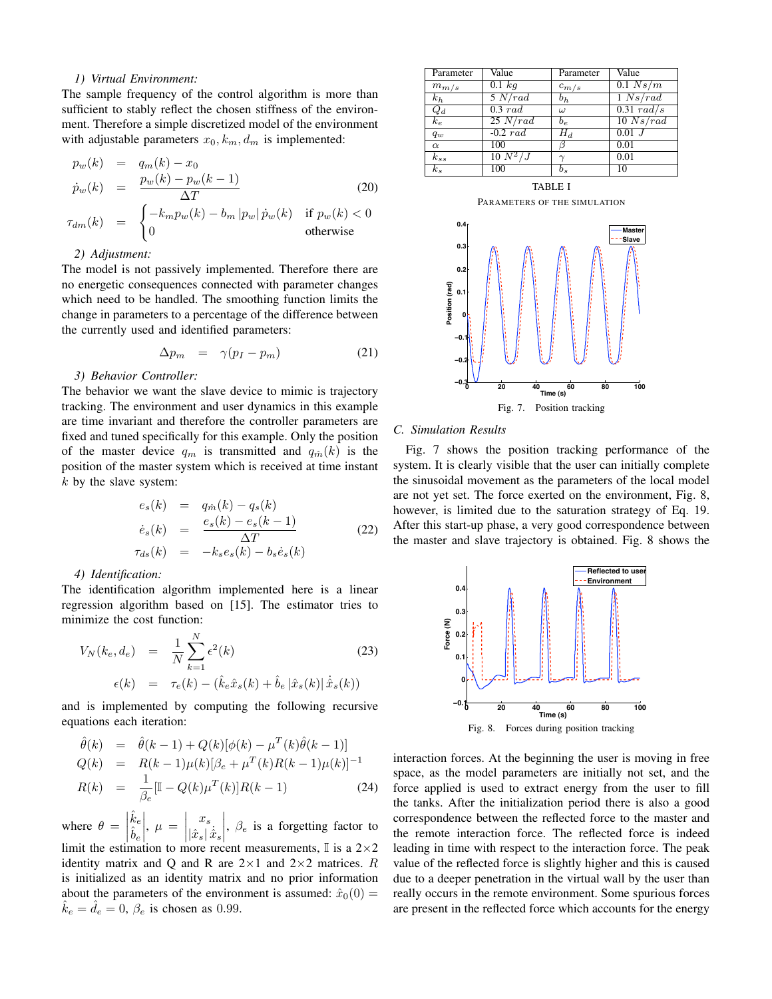#### *1) Virtual Environment:*

The sample frequency of the control algorithm is more than sufficient to stably reflect the chosen stiffness of the environment. Therefore a simple discretized model of the environment with adjustable parameters  $x_0, k_m, d_m$  is implemented:

$$
p_w(k) = q_m(k) - x_0
$$
  
\n
$$
\dot{p}_w(k) = \frac{p_w(k) - p_w(k-1)}{\Delta T}
$$
 (20)  
\n
$$
\tau_{dm}(k) = \begin{cases}\n-k_m p_w(k) - b_m |p_w| \dot{p}_w(k) & \text{if } p_w(k) < 0 \\
0 & \text{otherwise}\n\end{cases}
$$

# *2) Adjustment:*

The model is not passively implemented. Therefore there are no energetic consequences connected with parameter changes which need to be handled. The smoothing function limits the change in parameters to a percentage of the difference between the currently used and identified parameters:

$$
\Delta p_m = \gamma (p_I - p_m) \tag{21}
$$

# *3) Behavior Controller:*

The behavior we want the slave device to mimic is trajectory tracking. The environment and user dynamics in this example are time invariant and therefore the controller parameters are fixed and tuned specifically for this example. Only the position of the master device  $q_m$  is transmitted and  $q_{\hat{m}}(k)$  is the position of the master system which is received at time instant  $k$  by the slave system:

$$
e_s(k) = q_{\hat{m}}(k) - q_s(k)
$$
  
\n
$$
\dot{e}_s(k) = \frac{e_s(k) - e_s(k-1)}{\Delta T}
$$
  
\n
$$
\tau_{ds}(k) = -k_s e_s(k) - b_s \dot{e}_s(k)
$$
\n(22)

# *4) Identification:*

The identification algorithm implemented here is a linear regression algorithm based on [15]. The estimator tries to minimize the cost function:

$$
V_N(k_e, d_e) = \frac{1}{N} \sum_{k=1}^N \epsilon^2(k)
$$
 (23)  

$$
\epsilon(k) = \tau_e(k) - (\hat{k}_e \hat{x}_s(k) + \hat{b}_e |\hat{x}_s(k)| \dot{\hat{x}}_s(k))
$$

and is implemented by computing the following recursive equations each iteration:

$$
\hat{\theta}(k) = \hat{\theta}(k-1) + Q(k)[\phi(k) - \mu^{T}(k)\hat{\theta}(k-1)]
$$
  
\n
$$
Q(k) = R(k-1)\mu(k)[\beta_{e} + \mu^{T}(k)R(k-1)\mu(k)]^{-1}
$$
  
\n
$$
R(k) = \frac{1}{\beta_{e}}[\mathbb{I} - Q(k)\mu^{T}(k)]R(k-1)
$$
\n(24)

where  $\theta =$  $\begin{array}{c} \begin{array}{c} \begin{array}{c} \begin{array}{c} \end{array}\\ \end{array} \end{array} \end{array}$  $\hat{k}_e$  $\hat{b}_e$  $\begin{array}{c} \begin{array}{c} \begin{array}{c} \begin{array}{c} \end{array}\\ \end{array} \end{array} \end{array}$ ,  $\mu =$   $x_s$  $|\dot{\hat{x}}_s|\, \dot{\hat{x}}_s$  $\begin{array}{c} \begin{array}{c} \begin{array}{c} \begin{array}{c} \end{array}\\ \end{array} \end{array} \end{array}$ ,  $\beta_e$  is a forgetting factor to limit the estimation to more recent measurements,  $\mathbb{I}$  is a  $2\times 2$ identity matrix and Q and R are  $2 \times 1$  and  $2 \times 2$  matrices. R is initialized as an identity matrix and no prior information about the parameters of the environment is assumed:  $\hat{x}_0(0) =$  $k_e = d_e = 0$ ,  $\beta_e$  is chosen as 0.99.

| Parameter      | Value                  | Parameter | Value                     |
|----------------|------------------------|-----------|---------------------------|
| $m_{m/s}$      | $0.1\;kq$              | $c_{m/s}$ | $0.1$ $Ns/m$              |
| $k_h$          | $5 \ N/rad$            | $b_h$     | $\frac{1 \, Ns/rad}{}$    |
| $Q_d$          | $\overline{0.3 \ rad}$ | $\omega$  | $\overline{0.31 \ rad/s}$ |
| $k_e$          | $25$ N/rad             | $b_e$     | $10$ Ns/rad               |
| $q_w$          | $-0.2 rad$             | $H_d$     | $0.01$ J                  |
| $\alpha$       | 100                    | β         | 0.01                      |
| $k_{ss}$       | $\frac{10 N^2}{J}$     | $\sim$    | 0.01                      |
| $k_{s}$        | 100                    | $b_{s}$   | 10                        |
| <b>TABLE I</b> |                        |           |                           |



## *C. Simulation Results*

Fig. 7 shows the position tracking performance of the system. It is clearly visible that the user can initially complete the sinusoidal movement as the parameters of the local model are not yet set. The force exerted on the environment, Fig. 8, however, is limited due to the saturation strategy of Eq. 19. After this start-up phase, a very good correspondence between the master and slave trajectory is obtained. Fig. 8 shows the



interaction forces. At the beginning the user is moving in free space, as the model parameters are initially not set, and the force applied is used to extract energy from the user to fill the tanks. After the initialization period there is also a good correspondence between the reflected force to the master and the remote interaction force. The reflected force is indeed leading in time with respect to the interaction force. The peak value of the reflected force is slightly higher and this is caused due to a deeper penetration in the virtual wall by the user than really occurs in the remote environment. Some spurious forces are present in the reflected force which accounts for the energy